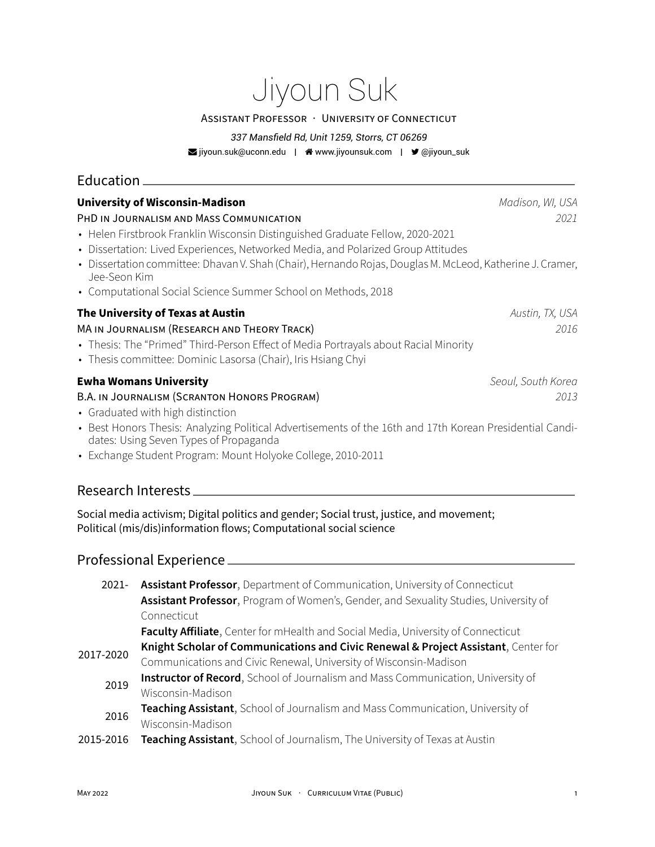# Jiyoun Suk

#### ASSiSTANT PROFESSOR · UNiVERSiTY OF CONNECTiCUT

#### *337 Mansfield Rd, Unit 1259, Storrs, CT 06269*

■ [jiyoun.suk@uconn.edu](mailto:jiyoun.suk@uconn.edu) | ● [www.jiyounsuk.com](http://www.jiyounsuk.com) | ■ [@jiyoun\\_suk](https://twitter.com/@jiyoun_suk)

# Education

| <b>University of Wisconsin-Madison</b><br>PHD IN JOURNALISM AND MASS COMMUNICATION<br>• Helen Firstbrook Franklin Wisconsin Distinguished Graduate Fellow, 2020-2021<br>• Dissertation: Lived Experiences, Networked Media, and Polarized Group Attitudes<br>· Dissertation committee: Dhavan V. Shah (Chair), Hernando Rojas, Douglas M. McLeod, Katherine J. Cramer,<br>Jee-Seon Kim<br>• Computational Social Science Summer School on Methods, 2018 | Madison, WI, USA<br>2021   |
|---------------------------------------------------------------------------------------------------------------------------------------------------------------------------------------------------------------------------------------------------------------------------------------------------------------------------------------------------------------------------------------------------------------------------------------------------------|----------------------------|
| The University of Texas at Austin<br>MA IN JOURNALISM (RESEARCH AND THEORY TRACK)<br>• Thesis: The "Primed" Third-Person Effect of Media Portrayals about Racial Minority<br>• Thesis committee: Dominic Lasorsa (Chair), Iris Hsiang Chyi                                                                                                                                                                                                              | Austin, TX, USA<br>2016    |
| <b>Ewha Womans University</b><br>B.A. IN JOURNALISM (SCRANTON HONORS PROGRAM)<br>• Graduated with high distinction<br>• Best Honors Thesis: Analyzing Political Advertisements of the 16th and 17th Korean Presidential Candi-<br>dates: Using Seven Types of Propaganda<br>• Exchange Student Program: Mount Holyoke College, 2010-2011                                                                                                                | Seoul, South Korea<br>2013 |
| Research Interests                                                                                                                                                                                                                                                                                                                                                                                                                                      |                            |

Social media activism; Digital politics and gender; Social trust, justice, and movement; Political (mis/dis)information flows; Computational social science

# Professional Experience

| 2021- Assistant Professor, Department of Communication, University of Connecticut     |  |
|---------------------------------------------------------------------------------------|--|
| Assistant Professor, Program of Women's, Gender, and Sexuality Studies, University of |  |
| Connecticut                                                                           |  |
| Faculty Affiliate, Center for mHealth and Social Media, University of Connecticut     |  |

2017‑2020 **Knight Scholar of Communications and Civic Renewal & Project Assistant**, Center for Communications and Civic Renewal, University of Wisconsin‑Madison

- 2019 **Instructor of Record**, School of Journalism and Mass Communication, University of Wisconsin‑Madison
- **Teaching Assistant**, School of Journalism and Mass Communication, University of Wisconsin‑Madison
- 2015‑2016 **Teaching Assistant**, School of Journalism, The University of Texas at Austin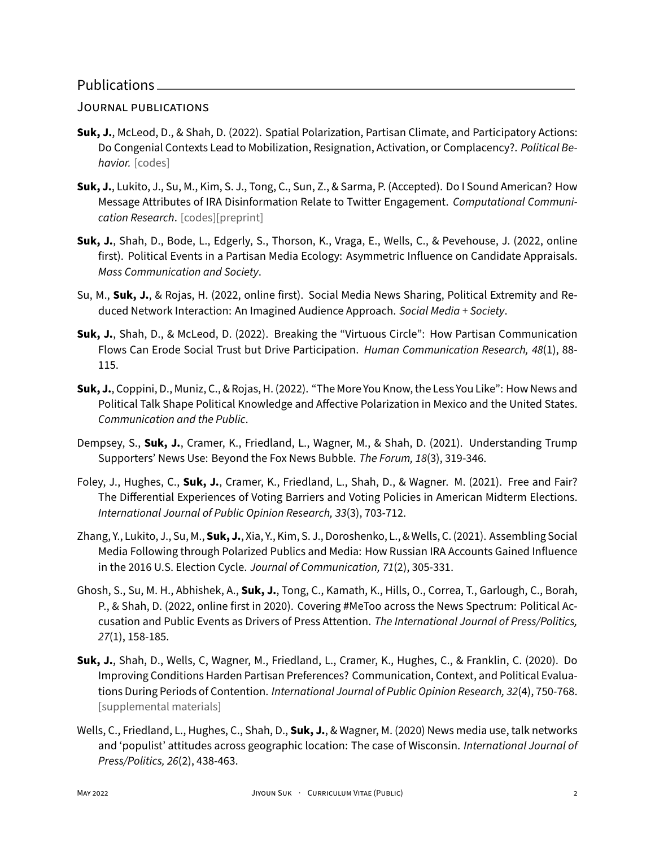#### JOURNAL PUBLiCATiONS

- **Suk, J.**, McLeod, D., & Shah, D. (2022). Spatial Polarization, Partisan Climate, and Participatory Actions: Do Congenial Contexts Lead to Mobilization, Resignation, Activation, or Complacency?. *Political Be‑ havior.* [\[codes\]](https://doi.org/10.7910/DVN/NBS63L)
- **Suk, J.**, Lukito, J., Su, M., Kim, S. J., Tong, C., Sun, Z., & Sarma, P. (Accepted). Do I Sound American? How Message Attributes of IRA Disinformation Relate to Twitter Engagement. *Computational Communi‑ cation Research*. [\[codes\]](https://osf.io/6b4n5/)[\[preprint\]](https://osf.io/dvnjm)
- **Suk, J.**, Shah, D., Bode, L., Edgerly, S., Thorson, K., Vraga, E., Wells, C., & Pevehouse, J. (2022, online first). Political Events in a Partisan Media Ecology: Asymmetric Influence on Candidate Appraisals. *Mass Communication and Society*.
- Su, M., **Suk, J.**, & Rojas, H. (2022, online first). Social Media News Sharing, Political Extremity and Re‑ duced Network Interaction: An Imagined Audience Approach. *Social Media + Society*.
- **Suk, J.**, Shah, D., & McLeod, D. (2022). Breaking the "Virtuous Circle": How Partisan Communication Flows Can Erode Social Trust but Drive Participation. *Human Communication Research, 48*(1), 88‑ 115.
- **Suk, J.**, Coppini, D., Muniz, C., & Rojas, H. (2022). "The More You Know, the Less You Like": How News and Political Talk Shape Political Knowledge and Affective Polarization in Mexico and the United States. *Communication and the Public*.
- Dempsey, S., **Suk, J.**, Cramer, K., Friedland, L., Wagner, M., & Shah, D. (2021). Understanding Trump Supporters' News Use: Beyond the Fox News Bubble. *The Forum, 18*(3), 319‑346.
- Foley, J., Hughes, C., **Suk, J.**, Cramer, K., Friedland, L., Shah, D., & Wagner. M. (2021). Free and Fair? The Differential Experiences of Voting Barriers and Voting Policies in American Midterm Elections. *International Journal of Public Opinion Research, 33*(3), 703‑712.
- Zhang, Y., Lukito, J., Su, M., **Suk, J.**, Xia, Y., Kim, S. J., Doroshenko, L., & Wells, C. (2021). Assembling Social Media Following through Polarized Publics and Media: How Russian IRA Accounts Gained Influence in the 2016 U.S. Election Cycle. *Journal of Communication, 71*(2), 305‑331.
- Ghosh, S., Su, M. H., Abhishek, A., **Suk, J.**, Tong, C., Kamath, K., Hills, O., Correa, T., Garlough, C., Borah, P., & Shah, D. (2022, online first in 2020). Covering #MeToo across the News Spectrum: Political Ac‑ cusation and Public Events as Drivers of Press Attention. *The International Journal of Press/Politics, 27*(1), 158‑185.
- **Suk, J.**, Shah, D., Wells, C, Wagner, M., Friedland, L., Cramer, K., Hughes, C., & Franklin, C. (2020). Do Improving Conditions Harden Partisan Preferences? Communication, Context, and Political Evalua‑ tions During Periods of Contention. *International Journal of Public Opinion Research, 32*(4), 750‑768. [\[supplemental materials\]](https://doi.org/10.1093/ijpor/edz051)
- Wells, C., Friedland, L., Hughes, C., Shah, D., **Suk, J.**, & Wagner, M. (2020) News media use, talk networks and 'populist' attitudes across geographic location: The case of Wisconsin. *International Journal of Press/Politics, 26*(2), 438‑463.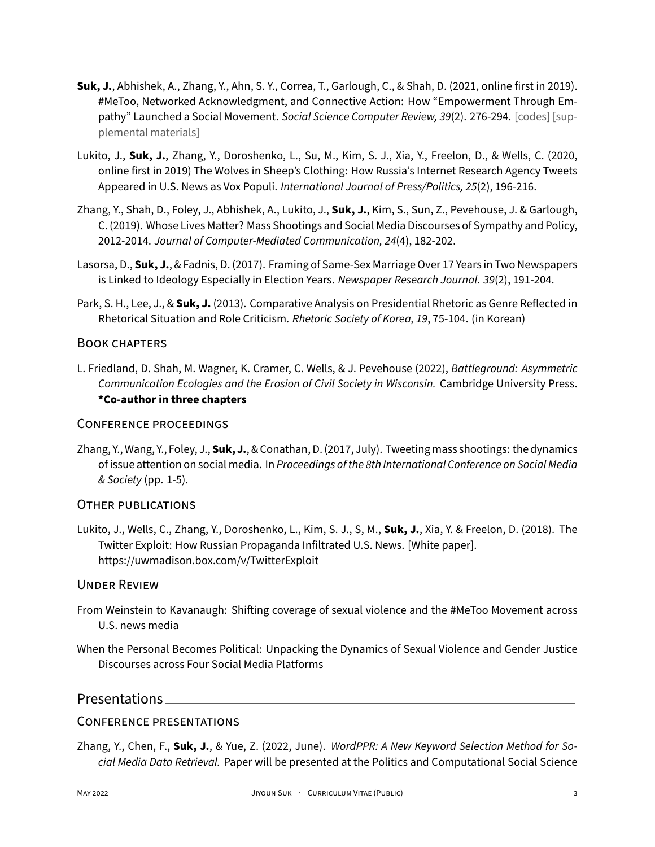- **Suk, J.**, Abhishek, A., Zhang, Y., Ahn, S. Y., Correa, T., Garlough, C., & Shah, D. (2021, online first in 2019). #MeToo, Networked Acknowledgment, and Connective Action: How "Empowerment Through Em‑ pathy" Launched a Social Movement. *Social Science Computer Review*, 39(2). 276-294. [\[codes\]](https://github.com/JiyounSuk/MeToo-2019) [sup[plemental materials\]](https://journals.sagepub.com/doi/suppl/10.1177/0894439319864882)
- Lukito, J., **Suk, J.**, Zhang, Y., Doroshenko, L., Su, M., Kim, S. J., Xia, Y., Freelon, D., & Wells, C. (2020, online first in 2019) The Wolves in Sheep's Clothing: How Russia's Internet Research Agency Tweets Appeared in U.S. News as Vox Populi. *International Journal of Press/Politics, 25*(2), 196‑216.
- Zhang, Y., Shah, D., Foley, J., Abhishek, A., Lukito, J., **Suk, J.**, Kim, S., Sun, Z., Pevehouse, J. & Garlough, C. (2019). Whose Lives Matter? Mass Shootings and Social Media Discourses of Sympathy and Policy, 2012‑2014. *Journal of Computer‑Mediated Communication, 24*(4), 182‑202.
- Lasorsa, D., **Suk, J.**, & Fadnis, D. (2017). Framing of Same‑Sex Marriage Over 17 Years in Two Newspapers is Linked to Ideology Especially in Election Years. *Newspaper Research Journal. 39*(2), 191‑204.
- Park, S. H., Lee, J., & **Suk, J.** (2013). Comparative Analysis on Presidential Rhetoric as Genre Reflected in Rhetorical Situation and Role Criticism. *Rhetoric Society of Korea, 19*, 75‑104. (in Korean)

#### BOOK CHAPTERS

L. Friedland, D. Shah, M. Wagner, K. Cramer, C. Wells, & J. Pevehouse (2022), *Battleground: Asymmetric Communication Ecologies and the Erosion of Civil Society in Wisconsin.* Cambridge University Press. **\*Co‑author in three chapters**

#### CONFERENCE PROCEEDiNGS

Zhang, Y., Wang, Y., Foley, J., **Suk, J.**, & Conathan, D. (2017, July). Tweetingmass shootings: the dynamics of issue attention on social media. In *Proceedings of the 8th International Conference on Social Media & Society* (pp. 1‑5).

#### OTHER PUBLiCATiONS

Lukito, J., Wells, C., Zhang, Y., Doroshenko, L., Kim, S. J., S, M., **Suk, J.**, Xia, Y. & Freelon, D. (2018). The Twitter Exploit: How Russian Propaganda Infiltrated U.S. News. [White paper]. <https://uwmadison.box.com/v/TwitterExploit>

#### UNDER REViEW

- From Weinstein to Kavanaugh: Shifting coverage of sexual violence and the #MeToo Movement across U.S. news media
- When the Personal Becomes Political: Unpacking the Dynamics of Sexual Violence and Gender Justice Discourses across Four Social Media Platforms

#### Presentations

#### CONFERENCE PRESENTATiONS

Zhang, Y., Chen, F., **Suk, J.**, & Yue, Z. (2022, June). *WordPPR: A New Keyword Selection Method for So‑ cial Media Data Retrieval.* Paper will be presented at the Politics and Computational Social Science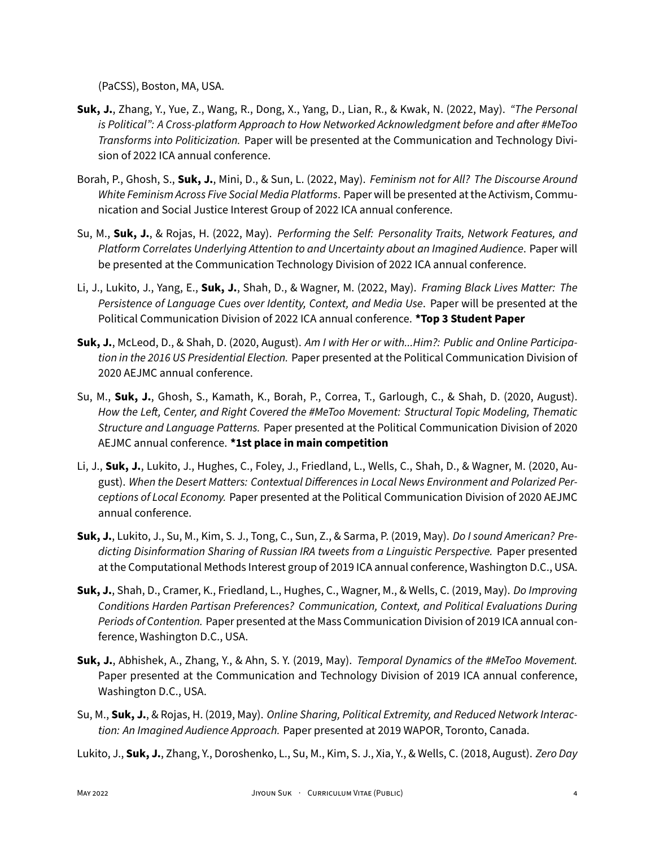(PaCSS), Boston, MA, USA.

- **Suk, J.**, Zhang, Y., Yue, Z., Wang, R., Dong, X., Yang, D., Lian, R., & Kwak, N. (2022, May). *"The Personal is Political": A Cross‑platform Approach to How Networked Acknowledgment before and after #MeToo Transforms into Politicization.* Paper will be presented at the Communication and Technology Divi‑ sion of 2022 ICA annual conference.
- Borah, P., Ghosh, S., **Suk, J.**, Mini, D., & Sun, L. (2022, May). *Feminism not for All? The Discourse Around* White Feminism Across Five Social Media Platforms. Paper will be presented at the Activism, Communication and Social Justice Interest Group of 2022 ICA annual conference.
- Su, M., **Suk, J.**, & Rojas, H. (2022, May). *Performing the Self: Personality Traits, Network Features, and Platform Correlates Underlying Attention to and Uncertainty about an Imagined Audience*. Paper will be presented at the Communication Technology Division of 2022 ICA annual conference.
- Li, J., Lukito, J., Yang, E., **Suk, J.**, Shah, D., & Wagner, M. (2022, May). *Framing Black Lives Matter: The Persistence of Language Cues over Identity, Context, and Media Use*. Paper will be presented at the Political Communication Division of 2022 ICA annual conference. **\*Top 3 Student Paper**
- **Suk, J.**, McLeod, D., & Shah, D. (2020, August). *Am I with Her or with...Him?: Public and Online Participa‑ tion in the 2016 US Presidential Election.* Paper presented at the Political Communication Division of 2020 AEJMC annual conference.
- Su, M., **Suk, J.**, Ghosh, S., Kamath, K., Borah, P., Correa, T., Garlough, C., & Shah, D. (2020, August). *How the Left, Center, and Right Covered the #MeToo Movement: Structural Topic Modeling, Thematic Structure and Language Patterns.* Paper presented at the Political Communication Division of 2020 AEJMC annual conference. **\*1st place in main competition**
- Li, J., **Suk, J.**, Lukito, J., Hughes, C., Foley, J., Friedland, L., Wells, C., Shah, D., & Wagner, M. (2020, Au‑ gust). *When the Desert Matters: Contextual Differences in Local News Environment and Polarized Per‑ ceptions of Local Economy.* Paper presented at the Political Communication Division of 2020 AEJMC annual conference.
- **Suk, J.**, Lukito, J., Su, M., Kim, S. J., Tong, C., Sun, Z., & Sarma, P. (2019, May). *Do I sound American? Pre‑ dicting Disinformation Sharing of Russian IRA tweets from a Linguistic Perspective.* Paper presented at the Computational Methods Interest group of 2019 ICA annual conference, Washington D.C., USA.
- **Suk, J.**, Shah, D., Cramer, K., Friedland, L., Hughes, C., Wagner, M., & Wells, C. (2019, May). *Do Improving Conditions Harden Partisan Preferences? Communication, Context, and Political Evaluations During Periods of Contention.* Paper presented at the Mass Communication Division of 2019 ICA annual con‑ ference, Washington D.C., USA.
- **Suk, J.**, Abhishek, A., Zhang, Y., & Ahn, S. Y. (2019, May). *Temporal Dynamics of the #MeToo Movement.* Paper presented at the Communication and Technology Division of 2019 ICA annual conference, Washington D.C., USA.
- Su, M., **Suk, J.**, & Rojas, H. (2019, May). *Online Sharing, Political Extremity, and Reduced Network Interac‑ tion: An Imagined Audience Approach.* Paper presented at 2019 WAPOR, Toronto, Canada.
- Lukito, J., **Suk, J.**, Zhang, Y., Doroshenko, L., Su, M., Kim, S. J., Xia, Y., & Wells, C. (2018, August). *Zero Day*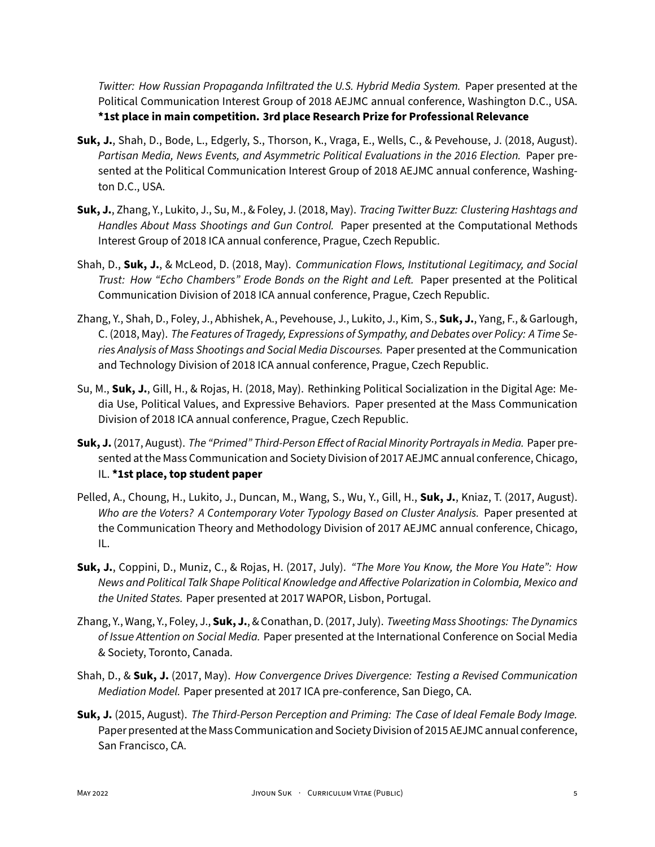*Twitter: How Russian Propaganda Infiltrated the U.S. Hybrid Media System.* Paper presented at the Political Communication Interest Group of 2018 AEJMC annual conference, Washington D.C., USA. **\*1st place in main competition. 3rd place Research Prize for Professional Relevance**

- **Suk, J.**, Shah, D., Bode, L., Edgerly, S., Thorson, K., Vraga, E., Wells, C., & Pevehouse, J. (2018, August). *Partisan Media, News Events, and Asymmetric Political Evaluations in the 2016 Election.* Paper pre‑ sented at the Political Communication Interest Group of 2018 AEJMC annual conference, Washington D.C., USA.
- **Suk, J.**, Zhang, Y., Lukito, J., Su, M., & Foley, J. (2018, May). *Tracing Twitter Buzz: Clustering Hashtags and Handles About Mass Shootings and Gun Control.* Paper presented at the Computational Methods Interest Group of 2018 ICA annual conference, Prague, Czech Republic.
- Shah, D., **Suk, J.**, & McLeod, D. (2018, May). *Communication Flows, Institutional Legitimacy, and Social Trust: How "Echo Chambers" Erode Bonds on the Right and Left.* Paper presented at the Political Communication Division of 2018 ICA annual conference, Prague, Czech Republic.
- Zhang, Y., Shah, D., Foley, J., Abhishek, A., Pevehouse, J., Lukito, J., Kim, S., **Suk, J.**, Yang, F., & Garlough, C. (2018, May). *The Features of Tragedy, Expressions of Sympathy, and Debates over Policy: A Time Se‑ ries Analysis of Mass Shootings and Social Media Discourses.* Paper presented at the Communication and Technology Division of 2018 ICA annual conference, Prague, Czech Republic.
- Su, M., **Suk, J.**, Gill, H., & Rojas, H. (2018, May). Rethinking Political Socialization in the Digital Age: Me‑ dia Use, Political Values, and Expressive Behaviors. Paper presented at the Mass Communication Division of 2018 ICA annual conference, Prague, Czech Republic.
- **Suk, J.** (2017, August). *The "Primed" Third‑Person Effect of Racial Minority Portrayals in Media.* Paper pre‑ sented at the Mass Communication and Society Division of 2017 AEJMC annual conference, Chicago, IL. **\*1st place, top student paper**
- Pelled, A., Choung, H., Lukito, J., Duncan, M., Wang, S., Wu, Y., Gill, H., **Suk, J.**, Kniaz, T. (2017, August). *Who are the Voters? A Contemporary Voter Typology Based on Cluster Analysis.* Paper presented at the Communication Theory and Methodology Division of 2017 AEJMC annual conference, Chicago, IL.
- **Suk, J.**, Coppini, D., Muniz, C., & Rojas, H. (2017, July). *"The More You Know, the More You Hate": How News and Political Talk Shape Political Knowledge and Affective Polarization in Colombia, Mexico and the United States.* Paper presented at 2017 WAPOR, Lisbon, Portugal.
- Zhang, Y., Wang, Y., Foley, J., **Suk, J.**, & Conathan, D. (2017, July). *Tweeting Mass Shootings: The Dynamics of Issue Attention on Social Media.* Paper presented at the International Conference on Social Media & Society, Toronto, Canada.
- Shah, D., & **Suk, J.** (2017, May). *How Convergence Drives Divergence: Testing a Revised Communication Mediation Model.* Paper presented at 2017 ICA pre‑conference, San Diego, CA.
- **Suk, J.** (2015, August). *The Third‑Person Perception and Priming: The Case of Ideal Female Body Image.* Paper presented at the Mass Communication and Society Division of 2015 AEJMC annual conference, San Francisco, CA.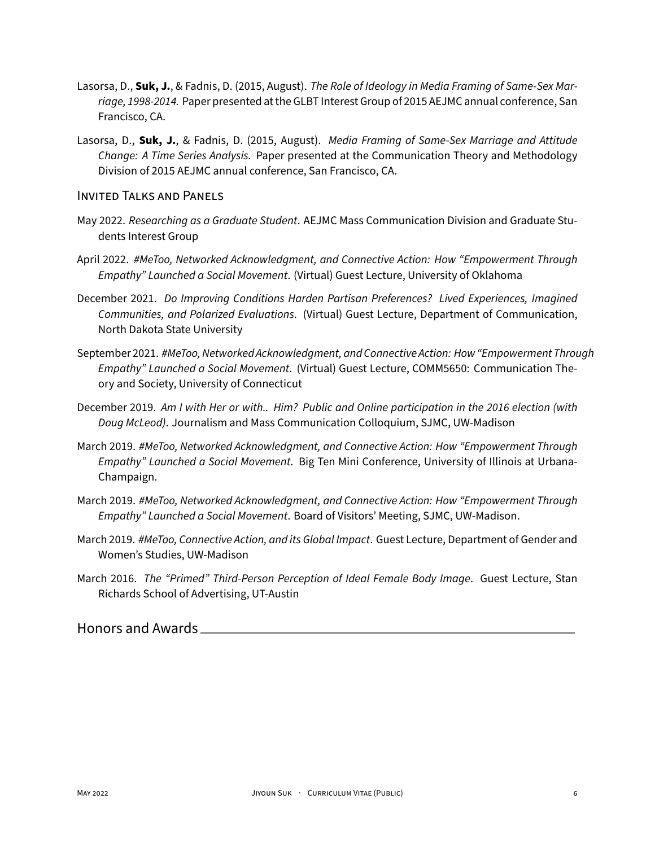- Lasorsa, D., **Suk, J.**, & Fadnis, D. (2015, August). *The Role of Ideology in Media Framing of Same‑Sex Mar‑ riage, 1998‑2014.* Paper presented at the GLBT Interest Group of 2015 AEJMC annual conference, San Francisco, CA.
- Lasorsa, D., **Suk, J.**, & Fadnis, D. (2015, August). *Media Framing of Same‑Sex Marriage and Attitude Change: A Time Series Analysis.* Paper presented at the Communication Theory and Methodology Division of 2015 AEJMC annual conference, San Francisco, CA.

#### INVITED TALKS AND PANELS

- May 2022. *Researching as a Graduate Student*. AEJMC Mass Communication Division and Graduate Stu‑ dents Interest Group
- April 2022. *#MeToo, Networked Acknowledgment, and Connective Action: How "Empowerment Through Empathy" Launched a Social Movement*. (Virtual) Guest Lecture, University of Oklahoma
- December 2021. *Do Improving Conditions Harden Partisan Preferences? Lived Experiences, Imagined Communities, and Polarized Evaluations*. (Virtual) Guest Lecture, Department of Communication, North Dakota State University
- September 2021. *#MeToo, Networked Acknowledgment, and Connective Action: How "Empowerment Through Empathy" Launched a Social Movement*. (Virtual) Guest Lecture, COMM5650: Communication The‑ ory and Society, University of Connecticut
- December 2019. *Am I with Her or with.. Him? Public and Online participation in the 2016 election (with Doug McLeod)*. Journalism and Mass Communication Colloquium, SJMC, UW‑Madison
- March 2019. *#MeToo, Networked Acknowledgment, and Connective Action: How "Empowerment Through Empathy" Launched a Social Movement*. Big Ten Mini Conference, University of Illinois at Urbana‑ Champaign.
- March 2019. *#MeToo, Networked Acknowledgment, and Connective Action: How "Empowerment Through Empathy" Launched a Social Movement*. Board of Visitors' Meeting, SJMC, UW‑Madison.
- March 2019. *#MeToo, Connective Action, and its Global Impact*. Guest Lecture, Department of Gender and Women's Studies, UW‑Madison
- March 2016. *The "Primed" Third‑Person Perception of Ideal Female Body Image*. Guest Lecture, Stan Richards School of Advertising, UT‑Austin

Honors and Awards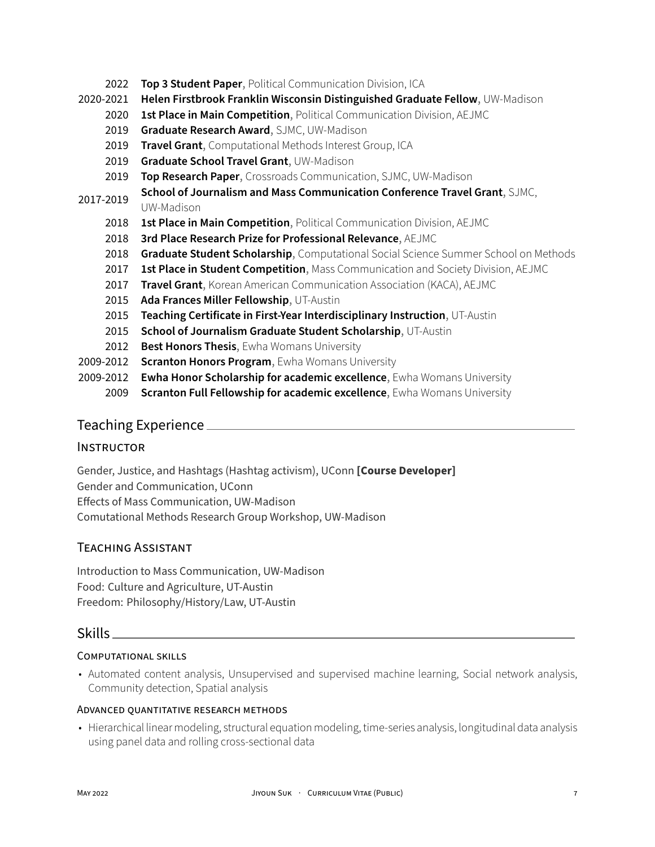- 2022 **Top 3 Student Paper**, Political Communication Division, ICA
- 2020‑2021 **Helen Firstbrook Franklin Wisconsin Distinguished Graduate Fellow**, UW‑Madison
	- 2020 **1st Place in Main Competition**, Political Communication Division, AEJMC
		- 2019 **Graduate Research Award**, SJMC, UW‑Madison
		- 2019 **Travel Grant**, Computational Methods Interest Group, ICA
		- 2019 **Graduate School Travel Grant**, UW‑Madison
		- 2019 **Top Research Paper**, Crossroads Communication, SJMC, UW‑Madison
- 2017‑2019 **School of Journalism and Mass Communication Conference Travel Grant**, SJMC,

#### UW‑Madison

- 2018 **1st Place in Main Competition**, Political Communication Division, AEJMC
- 2018 **3rd Place Research Prize for Professional Relevance**, AEJMC
- 2018 **Graduate Student Scholarship**, Computational Social Science Summer School on Methods
- 2017 **1st Place in Student Competition**, Mass Communication and Society Division, AEJMC
- 2017 **Travel Grant**, Korean American Communication Association (KACA), AEJMC
- 2015 **Ada Frances Miller Fellowship**, UT‑Austin
- 2015 **Teaching Certificate in First‑Year Interdisciplinary Instruction**, UT‑Austin
- 2015 **School of Journalism Graduate Student Scholarship**, UT‑Austin
- 2012 **Best Honors Thesis**, Ewha Womans University
- 2009‑2012 **Scranton Honors Program**, Ewha Womans University
- 2009‑2012 **Ewha Honor Scholarship for academic excellence**, Ewha Womans University
	- 2009 **Scranton Full Fellowship for academic excellence**, Ewha Womans University

# Teaching Experience

#### **INSTRUCTOR**

Gender, Justice, and Hashtags (Hashtag activism), UConn **[Course Developer]** Gender and Communication, UConn Effects of Mass Communication, UW‑Madison Comutational Methods Research Group Workshop, UW‑Madison

# TEACHiNG ASSiSTANT

Introduction to Mass Communication, UW‑Madison Food: Culture and Agriculture, UT‑Austin Freedom: Philosophy/History/Law, UT‑Austin

#### Skills

#### COMPUTATiONAL SKiLLS

• Automated content analysis, Unsupervised and supervised machine learning, Social network analysis, Community detection, Spatial analysis

#### ADVANCED QUANTiTATiVE RESEARCH METHODS

• Hierarchical linear modeling, structural equation modeling, time‑series analysis, longitudinal data analysis using panel data and rolling cross‑sectional data